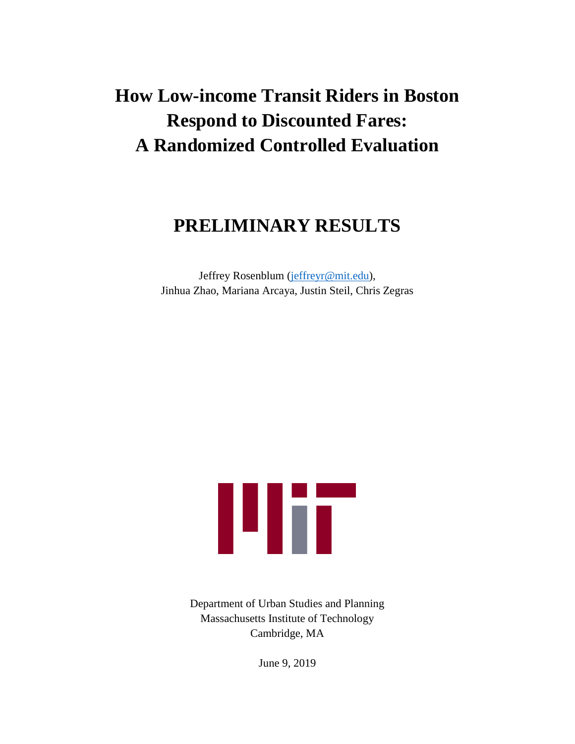# **How Low-income Transit Riders in Boston Respond to Discounted Fares: A Randomized Controlled Evaluation**

# **PRELIMINARY RESULTS**

Jeffrey Rosenblum [\(jeffreyr@mit.edu\)](mailto:jeffreyr@mit.edu), Jinhua Zhao, Mariana Arcaya, Justin Steil, Chris Zegras



Department of Urban Studies and Planning Massachusetts Institute of Technology Cambridge, MA

June 9, 2019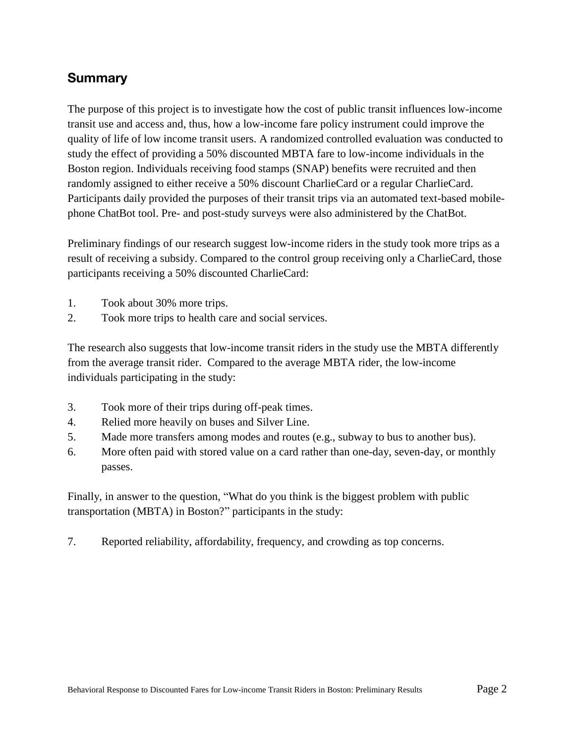### **Summary**

The purpose of this project is to investigate how the cost of public transit influences low-income transit use and access and, thus, how a low-income fare policy instrument could improve the quality of life of low income transit users. A randomized controlled evaluation was conducted to study the effect of providing a 50% discounted MBTA fare to low-income individuals in the Boston region. Individuals receiving food stamps (SNAP) benefits were recruited and then randomly assigned to either receive a 50% discount CharlieCard or a regular CharlieCard. Participants daily provided the purposes of their transit trips via an automated text-based mobilephone ChatBot tool. Pre- and post-study surveys were also administered by the ChatBot.

Preliminary findings of our research suggest low-income riders in the study took more trips as a result of receiving a subsidy. Compared to the control group receiving only a CharlieCard, those participants receiving a 50% discounted CharlieCard:

- 1. Took about 30% more trips.
- 2. Took more trips to health care and social services.

The research also suggests that low-income transit riders in the study use the MBTA differently from the average transit rider. Compared to the average MBTA rider, the low-income individuals participating in the study:

- 3. Took more of their trips during off-peak times.
- 4. Relied more heavily on buses and Silver Line.
- 5. Made more transfers among modes and routes (e.g., subway to bus to another bus).
- 6. More often paid with stored value on a card rather than one-day, seven-day, or monthly passes.

Finally, in answer to the question, "What do you think is the biggest problem with public transportation (MBTA) in Boston?" participants in the study:

7. Reported reliability, affordability, frequency, and crowding as top concerns.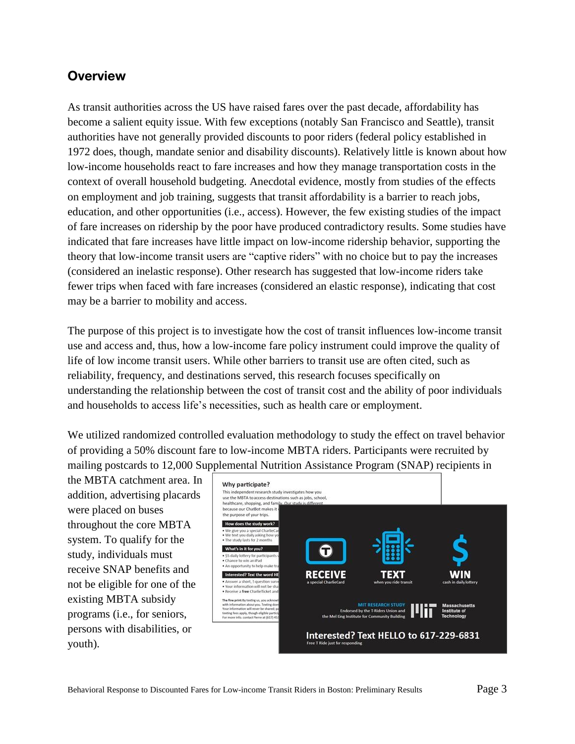### **Overview**

As transit authorities across the US have raised fares over the past decade, affordability has become a salient equity issue. With few exceptions (notably San Francisco and Seattle), transit authorities have not generally provided discounts to poor riders (federal policy established in 1972 does, though, mandate senior and disability discounts). Relatively little is known about how low-income households react to fare increases and how they manage transportation costs in the context of overall household budgeting. Anecdotal evidence, mostly from studies of the effects on employment and job training, suggests that transit affordability is a barrier to reach jobs, education, and other opportunities (i.e., access). However, the few existing studies of the impact of fare increases on ridership by the poor have produced contradictory results. Some studies have indicated that fare increases have little impact on low-income ridership behavior, supporting the theory that low-income transit users are "captive riders" with no choice but to pay the increases (considered an inelastic response). Other research has suggested that low-income riders take fewer trips when faced with fare increases (considered an elastic response), indicating that cost may be a barrier to mobility and access.

The purpose of this project is to investigate how the cost of transit influences low-income transit use and access and, thus, how a low-income fare policy instrument could improve the quality of life of low income transit users. While other barriers to transit use are often cited, such as reliability, frequency, and destinations served, this research focuses specifically on understanding the relationship between the cost of transit cost and the ability of poor individuals and households to access life's necessities, such as health care or employment.

We utilized randomized controlled evaluation methodology to study the effect on travel behavior of providing a 50% discount fare to low-income MBTA riders. Participants were recruited by mailing postcards to 12,000 Supplemental Nutrition Assistance Program (SNAP) recipients in

the MBTA catchment area. In addition, advertising placards were placed on buses throughout the core MBTA system. To qualify for the study, individuals must receive SNAP benefits and not be eligible for one of the existing MBTA subsidy programs (i.e., for seniors, persons with disabilities, or youth).

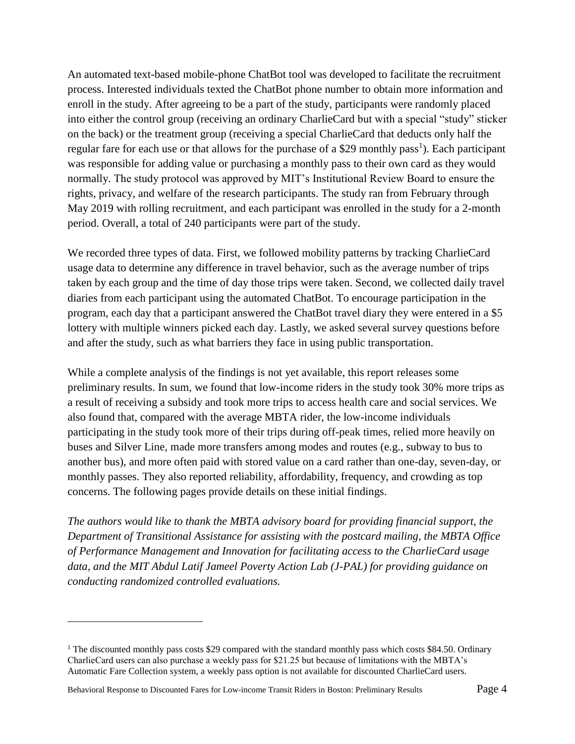An automated text-based mobile-phone ChatBot tool was developed to facilitate the recruitment process. Interested individuals texted the ChatBot phone number to obtain more information and enroll in the study. After agreeing to be a part of the study, participants were randomly placed into either the control group (receiving an ordinary CharlieCard but with a special "study" sticker on the back) or the treatment group (receiving a special CharlieCard that deducts only half the regular fare for each use or that allows for the purchase of a \$29 monthly pass<sup>1</sup>). Each participant was responsible for adding value or purchasing a monthly pass to their own card as they would normally. The study protocol was approved by MIT's Institutional Review Board to ensure the rights, privacy, and welfare of the research participants. The study ran from February through May 2019 with rolling recruitment, and each participant was enrolled in the study for a 2-month period. Overall, a total of 240 participants were part of the study.

We recorded three types of data. First, we followed mobility patterns by tracking CharlieCard usage data to determine any difference in travel behavior, such as the average number of trips taken by each group and the time of day those trips were taken. Second, we collected daily travel diaries from each participant using the automated ChatBot. To encourage participation in the program, each day that a participant answered the ChatBot travel diary they were entered in a \$5 lottery with multiple winners picked each day. Lastly, we asked several survey questions before and after the study, such as what barriers they face in using public transportation.

While a complete analysis of the findings is not yet available, this report releases some preliminary results. In sum, we found that low-income riders in the study took 30% more trips as a result of receiving a subsidy and took more trips to access health care and social services. We also found that, compared with the average MBTA rider, the low-income individuals participating in the study took more of their trips during off-peak times, relied more heavily on buses and Silver Line, made more transfers among modes and routes (e.g., subway to bus to another bus), and more often paid with stored value on a card rather than one-day, seven-day, or monthly passes. They also reported reliability, affordability, frequency, and crowding as top concerns. The following pages provide details on these initial findings.

*The authors would like to thank the MBTA advisory board for providing financial support, the Department of Transitional Assistance for assisting with the postcard mailing, the MBTA Office of Performance Management and Innovation for facilitating access to the CharlieCard usage data, and the MIT Abdul Latif Jameel Poverty Action Lab (J-PAL) for providing guidance on conducting randomized controlled evaluations.*

<sup>&</sup>lt;sup>1</sup> The discounted monthly pass costs \$29 compared with the standard monthly pass which costs \$84.50. Ordinary CharlieCard users can also purchase a weekly pass for \$21.25 but because of limitations with the MBTA's Automatic Fare Collection system, a weekly pass option is not available for discounted CharlieCard users.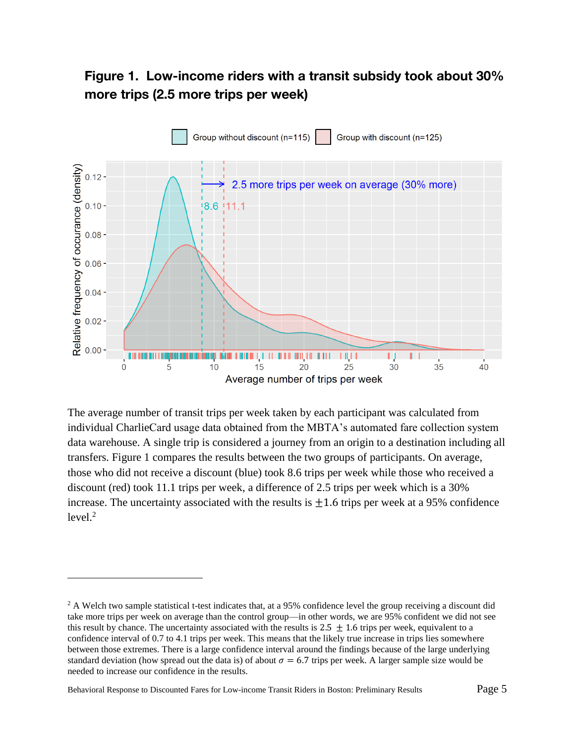### Figure 1. Low-income riders with a transit subsidy took about 30% more trips (2.5 more trips per week)



The average number of transit trips per week taken by each participant was calculated from individual CharlieCard usage data obtained from the MBTA's automated fare collection system data warehouse. A single trip is considered a journey from an origin to a destination including all transfers. Figure 1 compares the results between the two groups of participants. On average, those who did not receive a discount (blue) took 8.6 trips per week while those who received a discount (red) took 11.1 trips per week, a difference of 2.5 trips per week which is a 30% increase. The uncertainty associated with the results is  $+1.6$  trips per week at a 95% confidence  $level.<sup>2</sup>$ 

Behavioral Response to Discounted Fares for Low-income Transit Riders in Boston: Preliminary Results Page 5

<sup>&</sup>lt;sup>2</sup> A Welch two sample statistical t-test indicates that, at a 95% confidence level the group receiving a discount did take more trips per week on average than the control group—in other words, we are 95% confident we did not see this result by chance. The uncertainty associated with the results is  $2.5 \pm 1.6$  trips per week, equivalent to a confidence interval of 0.7 to 4.1 trips per week. This means that the likely true increase in trips lies somewhere between those extremes. There is a large confidence interval around the findings because of the large underlying standard deviation (how spread out the data is) of about  $\sigma = 6.7$  trips per week. A larger sample size would be needed to increase our confidence in the results.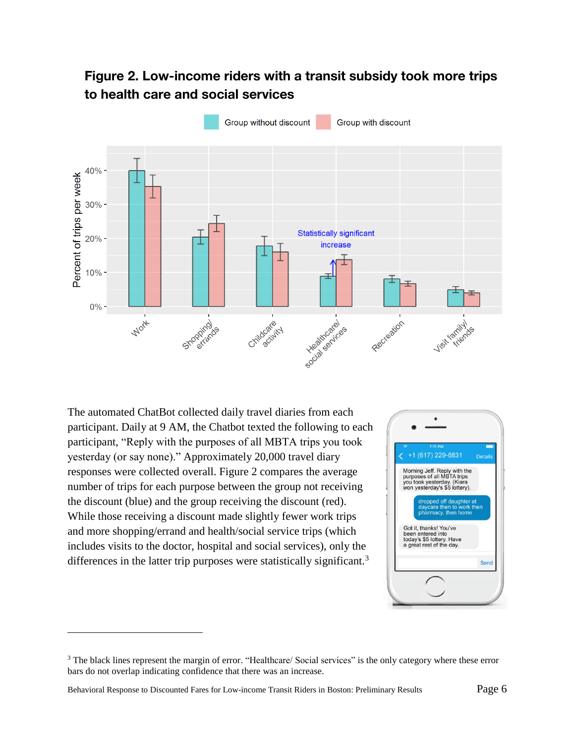### Figure 2. Low-income riders with a transit subsidy took more trips to health care and social services



The automated ChatBot collected daily travel diaries from each participant. Daily at 9 AM, the Chatbot texted the following to each participant, "Reply with the purposes of all MBTA trips you took yesterday (or say none)." Approximately 20,000 travel diary responses were collected overall. Figure 2 compares the average number of trips for each purpose between the group not receiving the discount (blue) and the group receiving the discount (red). While those receiving a discount made slightly fewer work trips and more shopping/errand and health/social service trips (which includes visits to the doctor, hospital and social services), only the differences in the latter trip purposes were statistically significant.<sup>3</sup>



<sup>&</sup>lt;sup>3</sup> The black lines represent the margin of error. "Healthcare/ Social services" is the only category where these error bars do not overlap indicating confidence that there was an increase.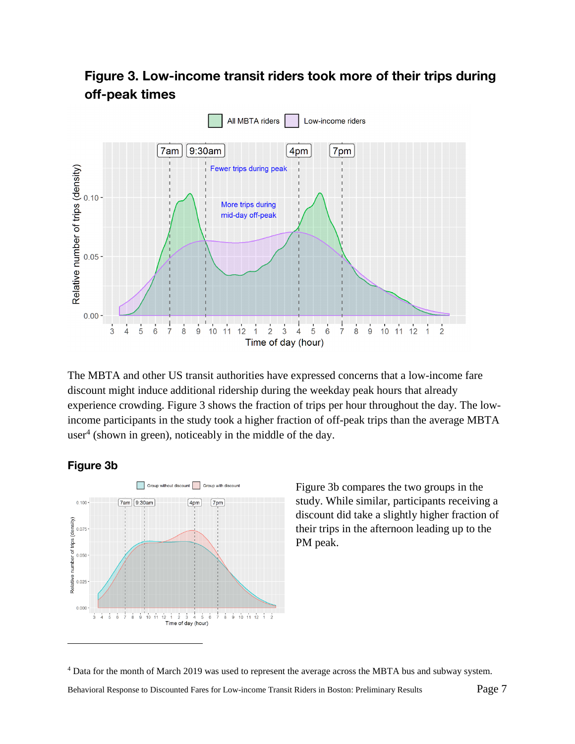### Figure 3. Low-income transit riders took more of their trips during off-peak times



The MBTA and other US transit authorities have expressed concerns that a low-income fare discount might induce additional ridership during the weekday peak hours that already experience crowding. Figure 3 shows the fraction of trips per hour throughout the day. The lowincome participants in the study took a higher fraction of off-peak trips than the average MBTA user<sup>4</sup> (shown in green), noticeably in the middle of the day.

#### Figure 3b

 $\overline{a}$ 



Figure 3b compares the two groups in the study. While similar, participants receiving a discount did take a slightly higher fraction of their trips in the afternoon leading up to the PM peak.

<sup>4</sup> Data for the month of March 2019 was used to represent the average across the MBTA bus and subway system.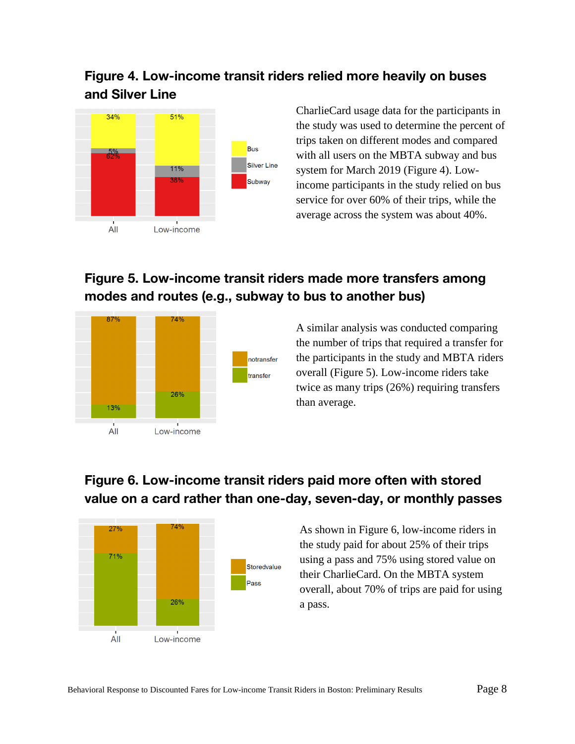### Figure 4. Low-income transit riders relied more heavily on buses and Silver Line



CharlieCard usage data for the participants in the study was used to determine the percent of trips taken on different modes and compared with all users on the MBTA subway and bus system for March 2019 (Figure 4). Lowincome participants in the study relied on bus service for over 60% of their trips, while the average across the system was about 40%.

## Figure 5. Low-income transit riders made more transfers among modes and routes (e.g., subway to bus to another bus)



A similar analysis was conducted comparing the number of trips that required a transfer for the participants in the study and MBTA riders overall (Figure 5). Low-income riders take twice as many trips (26%) requiring transfers than average.

### Figure 6. Low-income transit riders paid more often with stored value on a card rather than one-day, seven-day, or monthly passes



As shown in Figure 6, low-income riders in the study paid for about 25% of their trips using a pass and 75% using stored value on their CharlieCard. On the MBTA system overall, about 70% of trips are paid for using a pass.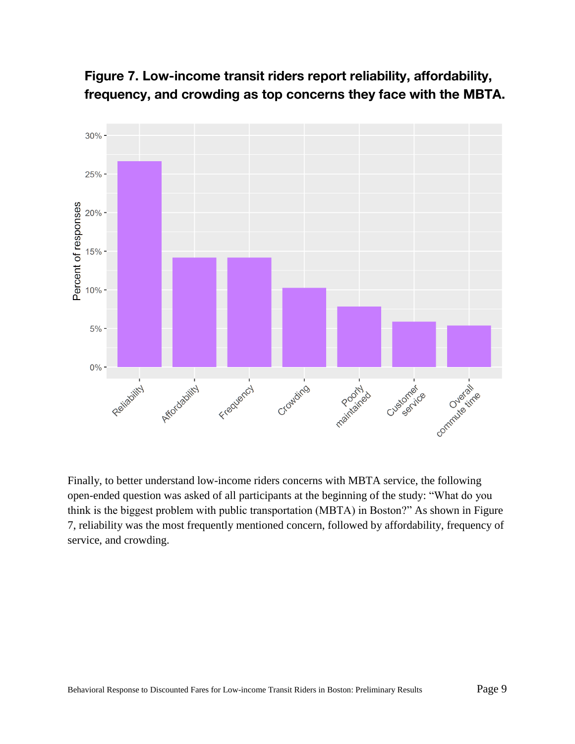

Figure 7. Low-income transit riders report reliability, affordability, frequency, and crowding as top concerns they face with the MBTA.

Finally, to better understand low-income riders concerns with MBTA service, the following open-ended question was asked of all participants at the beginning of the study: "What do you think is the biggest problem with public transportation (MBTA) in Boston?" As shown in Figure 7, reliability was the most frequently mentioned concern, followed by affordability, frequency of service, and crowding.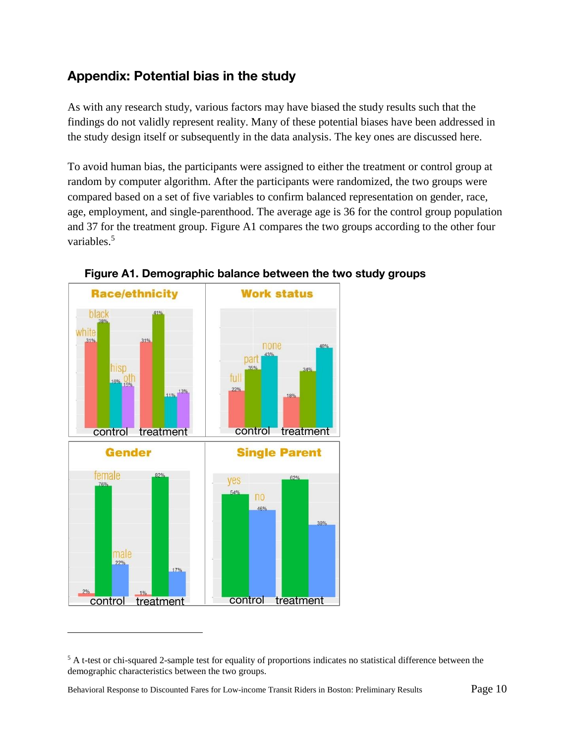### Appendix: Potential bias in the study

As with any research study, various factors may have biased the study results such that the findings do not validly represent reality. Many of these potential biases have been addressed in the study design itself or subsequently in the data analysis. The key ones are discussed here.

To avoid human bias, the participants were assigned to either the treatment or control group at random by computer algorithm. After the participants were randomized, the two groups were compared based on a set of five variables to confirm balanced representation on gender, race, age, employment, and single-parenthood. The average age is 36 for the control group population and 37 for the treatment group. Figure A1 compares the two groups according to the other four variables.<sup>5</sup>





<sup>&</sup>lt;sup>5</sup> A t-test or chi-squared 2-sample test for equality of proportions indicates no statistical difference between the demographic characteristics between the two groups.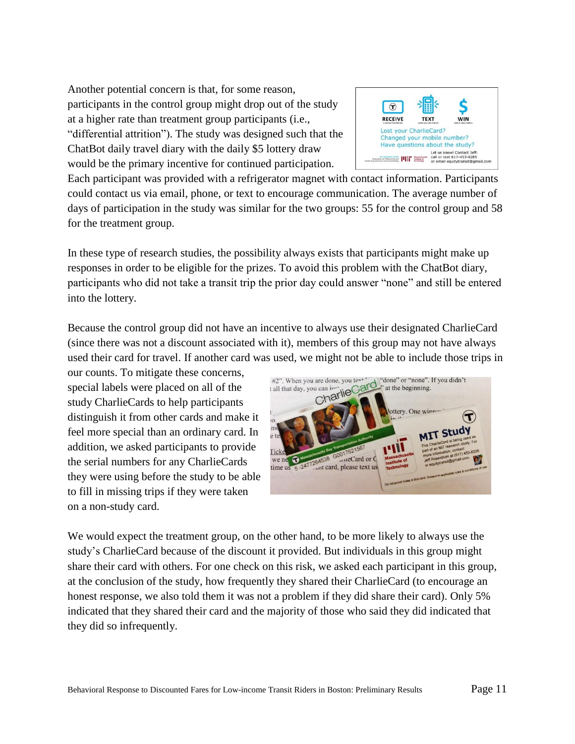Another potential concern is that, for some reason, participants in the control group might drop out of the study at a higher rate than treatment group participants (i.e., "differential attrition"). The study was designed such that the ChatBot daily travel diary with the daily \$5 lottery draw would be the primary incentive for continued participation.



Each participant was provided with a refrigerator magnet with contact information. Participants could contact us via email, phone, or text to encourage communication. The average number of days of participation in the study was similar for the two groups: 55 for the control group and 58 for the treatment group.

In these type of research studies, the possibility always exists that participants might make up responses in order to be eligible for the prizes. To avoid this problem with the ChatBot diary, participants who did not take a transit trip the prior day could answer "none" and still be entered into the lottery.

Because the control group did not have an incentive to always use their designated CharlieCard (since there was not a discount associated with it), members of this group may not have always used their card for travel. If another card was used, we might not be able to include those trips in

our counts. To mitigate these concerns, special labels were placed on all of the study CharlieCards to help participants distinguish it from other cards and make it feel more special than an ordinary card. In addition, we asked participants to provide the serial numbers for any CharlieCards they were using before the study to be able to fill in missing trips if they were taken on a non-study card.



We would expect the treatment group, on the other hand, to be more likely to always use the study's CharlieCard because of the discount it provided. But individuals in this group might share their card with others. For one check on this risk, we asked each participant in this group, at the conclusion of the study, how frequently they shared their CharlieCard (to encourage an honest response, we also told them it was not a problem if they did share their card). Only 5% indicated that they shared their card and the majority of those who said they did indicated that they did so infrequently.